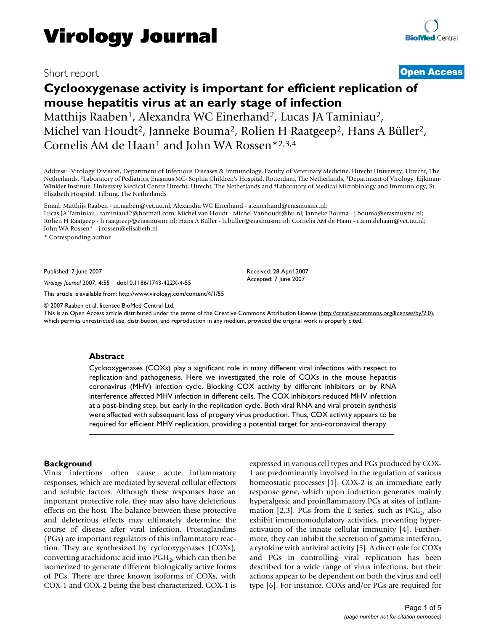## Short report **[Open Access](http://www.biomedcentral.com/info/about/charter/)**

# **Cyclooxygenase activity is important for efficient replication of mouse hepatitis virus at an early stage of infection** Matthijs Raaben<sup>1</sup>, Alexandra WC Einerhand<sup>2</sup>, Lucas JA Taminiau<sup>2</sup>, Michel van Houdt<sup>2</sup>, Janneke Bouma<sup>2</sup>, Rolien H Raatgeep<sup>2</sup>, Hans A Büller<sup>2</sup>, Cornelis AM de Haan<sup>1</sup> and John WA Rossen\*2,3,4

Address: 1Virology Division, Department of Infectious Diseases & Immunology, Faculty of Veterinary Medicine, Utrecht University, Utrecht, The Netherlands, 2Laboratory of Pediatrics, Erasmus MC- Sophia Children's Hospital, Rotterdam, The Netherlands, 3Department of Virology, Eijkman-Winkler Institute, University Medical Centre Utrecht, Utrecht, The Netherlands and 4Laboratory of Medical Microbiology and Immunology, St. Elisabeth Hospital, Tilburg, The Netherlands

Email: Matthijs Raaben - m.raaben@vet.uu.nl; Alexandra WC Einerhand - a.einerhand@erasmusmc.nl; Lucas JA Taminiau - taminiau42@hotmail.com; Michel van Houdt - Michel.Vanhoudt@hu.nl; Janneke Bouma - j.bouma@erasmusmc.nl; Rolien H Raatgeep - h.raatgreep@erasmusmc.nl; Hans A Büller - h.buller@erasmusmc.nl; Cornelis AM de Haan - c.a.m.dehaan@vet.uu.nl; John WA Rossen\* - j.rossen@elisabeth.nl

\* Corresponding author

Published: 7 June 2007

*Virology Journal* 2007, **4**:55 doi:10.1186/1743-422X-4-55

[This article is available from: http://www.virologyj.com/content/4/1/55](http://www.virologyj.com/content/4/1/55)

© 2007 Raaben et al; licensee BioMed Central Ltd.

This is an Open Access article distributed under the terms of the Creative Commons Attribution License [\(http://creativecommons.org/licenses/by/2.0\)](http://creativecommons.org/licenses/by/2.0), which permits unrestricted use, distribution, and reproduction in any medium, provided the original work is properly cited.

Received: 28 April 2007 Accepted: 7 June 2007

#### **Abstract**

Cyclooxygenases (COXs) play a significant role in many different viral infections with respect to replication and pathogenesis. Here we investigated the role of COXs in the mouse hepatitis coronavirus (MHV) infection cycle. Blocking COX activity by different inhibitors or by RNA interference affected MHV infection in different cells. The COX inhibitors reduced MHV infection at a post-binding step, but early in the replication cycle. Both viral RNA and viral protein synthesis were affected with subsequent loss of progeny virus production. Thus, COX activity appears to be required for efficient MHV replication, providing a potential target for anti-coronaviral therapy.

#### **Background**

Virus infections often cause acute inflammatory responses, which are mediated by several cellular effectors and soluble factors. Although these responses have an important protective role, they may also have deleterious effects on the host. The balance between these protective and deleterious effects may ultimately determine the course of disease after viral infection. Prostaglandins (PGs) are important regulators of this inflammatory reaction. They are synthesized by cyclooxygenases (COXs), converting arachidonic acid into  $PGH<sub>2</sub>$ , which can then be isomerized to generate different biologically active forms of PGs. There are three known isoforms of COXs, with COX-1 and COX-2 being the best characterized. COX-1 is expressed in various cell types and PGs produced by COX-1 are predominantly involved in the regulation of various homeostatic processes [1]. COX-2 is an immediate early response gene, which upon induction generates mainly hyperalgesic and proinflammatory PGs at sites of inflammation [2,3]. PGs from the E series, such as  $PGE<sub>2</sub>$ , also exhibit immunomodulatory activities, preventing hyperactivation of the innate cellular immunity [4]. Furthermore, they can inhibit the secretion of gamma interferon, a cytokine with antiviral activity [5]. A direct role for COXs and PGs in controlling viral replication has been described for a wide range of virus infections, but their actions appear to be dependent on both the virus and cell type [6]. For instance, COXs and/or PGs are required for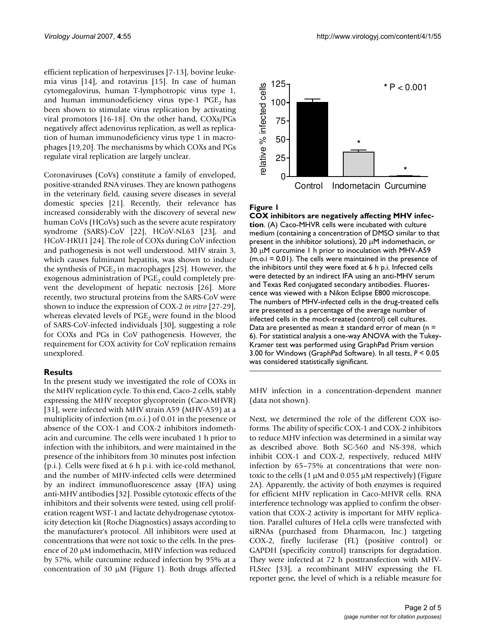efficient replication of herpesviruses [7-13], bovine leukemia virus [14], and rotavirus [15]. In case of human cytomegalovirus, human T-lymphotropic virus type 1, and human immunodeficiency virus type-1  $PGE<sub>2</sub>$  has been shown to stimulate virus replication by activating viral promotors [16-18]. On the other hand, COXs/PGs negatively affect adenovirus replication, as well as replication of human immunodeficiency virus type 1 in macrophages [19,20]. The mechanisms by which COXs and PGs regulate viral replication are largely unclear.

Coronaviruses (CoVs) constitute a family of enveloped, positive-stranded RNA viruses. They are known pathogens in the veterinary field, causing severe diseases in several domestic species [21]. Recently, their relevance has increased considerably with the discovery of several new human CoVs (HCoVs) such as the severe acute respiratory syndrome (SARS)-CoV [22], HCoV-NL63 [23], and HCoV-HKU1 [24]. The role of COXs during CoV infection and pathogenesis is not well understood. MHV strain 3, which causes fulminant hepatitis, was shown to induce the synthesis of  $PGE_2$  in macrophages [25]. However, the exogenous administration of  $PGE<sub>2</sub>$  could completely prevent the development of hepatic necrosis [26]. More recently, two structural proteins from the SARS-CoV were shown to induce the expression of COX-2 *in vitro* [27-29], whereas elevated levels of  $PGE<sub>2</sub>$  were found in the blood of SARS-CoV-infected individuals [30], suggesting a role for COXs and PGs in CoV pathogenesis. However, the requirement for COX activity for CoV replication remains unexplored.

### **Results**

In the present study we investigated the role of COXs in the MHV replication cycle. To this end, Caco-2 cells, stably expressing the MHV receptor glycoprotein (Caco-MHVR) [31], were infected with MHV strain A59 (MHV-A59) at a multiplicity of infection (m.o.i.) of 0.01 in the presence or absence of the COX-1 and COX-2 inhibitors indomethacin and curcumine. The cells were incubated 1 h prior to infection with the inhibitors, and were maintained in the presence of the inhibitors from 30 minutes post infection (p.i.). Cells were fixed at 6 h p.i. with ice-cold methanol, and the number of MHV-infected cells were determined by an indirect immunofluorescence assay (IFA) using anti-MHV antibodies [32]. Possible cytotoxic effects of the inhibitors and their solvents were tested, using cell proliferation reagent WST-1 and lactate dehydrogenase cytotoxicity detection kit (Roche Diagnostics) assays according to the manufacturer's protocol. All inhibitors were used at concentrations that were not toxic to the cells. In the presence of 20 µM indomethacin, MHV infection was reduced by 57%, while curcumine reduced infection by 95% at a concentration of 30  $\mu$ M (Figure 1). Both drugs affected



#### Figure 1

**COX inhibitors are negatively affecting MHV infection**. (A) Caco-MHVR cells were incubated with culture medium (containing a concentration of DMSO similar to that present in the inhibitor solutions), 20  $\mu$ M indomethacin, or 30 µM curcumine 1 h prior to inoculation with MHV-A59 (m.o.i = 0.01). The cells were maintained in the presence of the inhibitors until they were fixed at 6 h p.i. Infected cells were detected by an indirect IFA using an anti-MHV serum and Texas Red conjugated secondary antibodies. Fluorescence was viewed with a Nikon Eclipse E800 microscope. The numbers of MHV-infected cells in the drug-treated cells are presented as a percentage of the average number of infected cells in the mock-treated (control) cell cultures. Data are presented as mean  $\pm$  standard error of mean (n = 6). For statistical analysis a one-way ANOVA with the Tukey-Kramer test was performed using GraphPad Prism version 3.00 for Windows (GraphPad Software). In all tests, *P* < 0.05 was considered statistically significant.

MHV infection in a concentration-dependent manner (data not shown).

Next, we determined the role of the different COX isoforms. The ability of specific COX-1 and COX-2 inhibitors to reduce MHV infection was determined in a similar way as described above. Both SC-560 and NS-398, which inhibit COX-1 and COX-2, respectively, reduced MHV infection by 65–75% at concentrations that were nontoxic to the cells  $(1 \mu M$  and  $0.055 \mu M$  respectively) (Figure 2A). Apparently, the activity of both enzymes is required for efficient MHV replication in Caco-MHVR cells. RNA interference technology was applied to confirm the observation that COX-2 activity is important for MHV replication. Parallel cultures of HeLa cells were transfected with siRNAs (purchased from Dharmacon, Inc.) targeting COX-2, firefly luciferase (FL) (positive control) or GAPDH (specificity control) transcripts for degradation. They were infected at 72 h posttransfection with MHV-FLSrec [33], a recombinant MHV expressing the FL reporter gene, the level of which is a reliable measure for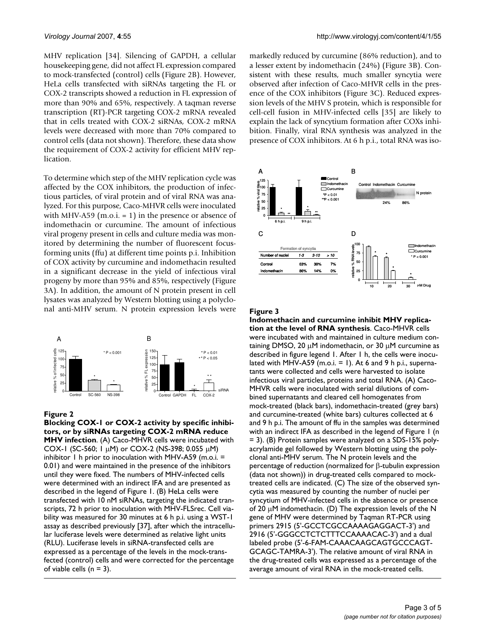MHV replication [34]. Silencing of GAPDH, a cellular housekeeping gene, did not affect FL expression compared to mock-transfected (control) cells (Figure 2B). However, HeLa cells transfected with siRNAs targeting the FL or COX-2 transcripts showed a reduction in FL expression of more than 90% and 65%, respectively. A taqman reverse transcription (RT)-PCR targeting COX-2 mRNA revealed that in cells treated with COX-2 siRNAs, COX-2 mRNA levels were decreased with more than 70% compared to control cells (data not shown). Therefore, these data show the requirement of COX-2 activity for efficient MHV replication.

To determine which step of the MHV replication cycle was affected by the COX inhibitors, the production of infectious particles, of viral protein and of viral RNA was analyzed. For this purpose, Caco-MHVR cells were inoculated with MHV-A59 (m.o.i.  $= 1$ ) in the presence or absence of indomethacin or curcumine. The amount of infectious viral progeny present in cells and culture media was monitored by determining the number of fluorescent focusforming units (ffu) at different time points p.i. Inhibition of COX activity by curcumine and indomethacin resulted in a significant decrease in the yield of infectious viral progeny by more than 95% and 85%, respectively (Figure 3A). In addition, the amount of N protein present in cell lysates was analyzed by Western blotting using a polyclonal anti-MHV serum. N protein expression levels were



#### Figure 2

**Blocking COX-1 or COX-2 activity by specific inhibitors, or by siRNAs targeting COX-2 mRNA reduce MHV infection**. (A) Caco-MHVR cells were incubated with COX-1 (SC-560; 1  $\mu$ M) or COX-2 (NS-398; 0.055  $\mu$ M) inhibitor 1 h prior to inoculation with MHV-A59 (m.o.i. = 0.01) and were maintained in the presence of the inhibitors until they were fixed. The numbers of MHV-infected cells were determined with an indirect IFA and are presented as described in the legend of Figure 1. (B) HeLa cells were transfected with 10 nM siRNAs, targeting the indicated transcripts, 72 h prior to inoculation with MHV-FLSrec. Cell viability was measured for 30 minutes at 6 h p.i. using a WST-1 assay as described previously [37], after which the intracellular luciferase levels were determined as relative light units (RLU). Luciferase levels in siRNA-transfected cells are expressed as a percentage of the levels in the mock-transfected (control) cells and were corrected for the percentage of viable cells  $(n = 3)$ .

markedly reduced by curcumine (86% reduction), and to a lesser extent by indomethacin (24%) (Figure 3B). Consistent with these results, much smaller syncytia were observed after infection of Caco-MHVR cells in the presence of the COX inhibitors (Figure 3C). Reduced expression levels of the MHV S protein, which is responsible for cell-cell fusion in MHV-infected cells [35] are likely to explain the lack of syncytium formation after COXs inhibition. Finally, viral RNA synthesis was analyzed in the presence of COX inhibitors. At 6 h p.i., total RNA was iso-



#### Figure 3

**Indomethacin and curcumine inhibit MHV replication at the level of RNA synthesis**. Caco-MHVR cells were incubated with and maintained in culture medium containing DMSO, 20 µM indomethacin, or 30 µM curcumine as described in figure legend 1. After 1 h, the cells were inoculated with MHV-A59 (m.o.i.  $= 1$ ). At 6 and 9 h p.i., supernatants were collected and cells were harvested to isolate infectious viral particles, proteins and total RNA. (A) Caco-MHVR cells were inoculated with serial dilutions of combined supernatants and cleared cell homogenates from mock-treated (black bars), indomethacin-treated (grey bars) and curcumine-treated (white bars) cultures collected at 6 and 9 h p.i. The amount of ffu in the samples was determined with an indirect IFA as described in the legend of Figure 1 (n = 3). (B) Protein samples were analyzed on a SDS-15% polyacrylamide gel followed by Western blotting using the polyclonal anti-MHV serum. The N protein levels and the percentage of reduction (normalized for β-tubulin expression (data not shown)) in drug-treated cells compared to mocktreated cells are indicated. (C) The size of the observed syncytia was measured by counting the number of nuclei per syncytium of MHV-infected cells in the absence or presence of 20 µM indomethacin. (D) The expression levels of the N gene of MHV were determined by Taqman RT-PCR using primers 2915 (5'-GCCTCGCCAAAAGAGGACT-3') and 2916 (5'-GGGCCTCTCTTTCCAAAACAC-3') and a dual labeled probe (5'-6-FAM-CAAACAAGCAGTGCCCAGT-GCAGC-TAMRA-3'). The relative amount of viral RNA in the drug-treated cells was expressed as a percentage of the average amount of viral RNA in the mock-treated cells.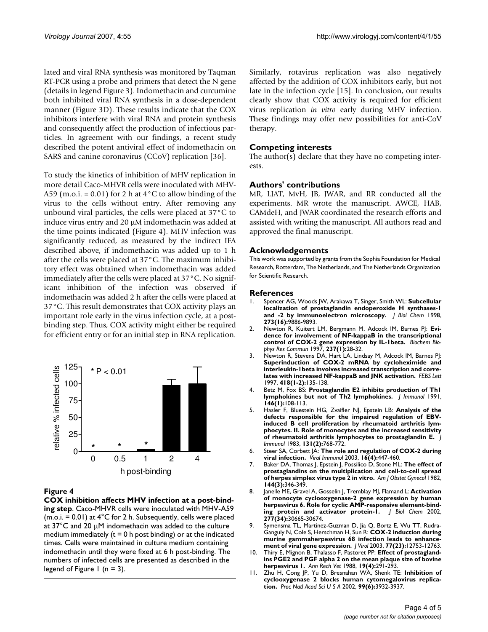lated and viral RNA synthesis was monitored by Taqman RT-PCR using a probe and primers that detect the N gene (details in legend Figure 3). Indomethacin and curcumine both inhibited viral RNA synthesis in a dose-dependent manner (Figure 3D). These results indicate that the COX inhibitors interfere with viral RNA and protein synthesis and consequently affect the production of infectious particles. In agreement with our findings, a recent study described the potent antiviral effect of indomethacin on SARS and canine coronavirus (CCoV) replication [36].

To study the kinetics of inhibition of MHV replication in more detail Caco-MHVR cells were inoculated with MHV-A59 (m.o.i. =  $0.01$ ) for 2 h at  $4^{\circ}$ C to allow binding of the virus to the cells without entry. After removing any unbound viral particles, the cells were placed at 37°C to induce virus entry and 20 µM indomethacin was added at the time points indicated (Figure 4). MHV infection was significantly reduced, as measured by the indirect IFA described above, if indomethacin was added up to 1 h after the cells were placed at 37°C. The maximum inhibitory effect was obtained when indomethacin was added immediately after the cells were placed at 37°C. No significant inhibition of the infection was observed if indomethacin was added 2 h after the cells were placed at 37°C. This result demonstrates that COX activity plays an important role early in the virus infection cycle, at a postbinding step. Thus, COX activity might either be required for efficient entry or for an initial step in RNA replication.



### Figure 4

**COX inhibition affects MHV infection at a post-binding step**. Caco-MHVR cells were inoculated with MHV-A59  $(m.o.i. = 0.01)$  at  $4^{\circ}$ C for 2 h. Subsequently, cells were placed at 37°C and 20 µM indomethacin was added to the culture medium immediately  $(t = 0 h$  post binding) or at the indicated times. Cells were maintained in culture medium containing indomethacin until they were fixed at 6 h post-binding. The numbers of infected cells are presented as described in the legend of Figure 1 ( $n = 3$ ).

Similarly, rotavirus replication was also negatively affected by the addition of COX inhibitors early, but not late in the infection cycle [15]. In conclusion, our results clearly show that COX activity is required for efficient virus replication *in vitro* early during MHV infection. These findings may offer new possibilities for anti-CoV therapy.

### **Competing interests**

The author(s) declare that they have no competing interests.

#### **Authors' contributions**

MR, LJAT, MvH, JB, JWAR, and RR conducted all the experiments. MR wrote the manuscript. AWCE, HAB, CAMdeH, and JWAR coordinated the research efforts and assisted with writing the manuscript. All authors read and approved the final manuscript.

#### **Acknowledgements**

This work was supported by grants from the Sophia Foundation for Medical Research, Rotterdam, The Netherlands, and The Netherlands Organization for Scientific Research.

#### **References**

- 1. Spencer AG, Woods JW, Arakawa T, Singer, Smith WL: **[Subcellular](http://www.ncbi.nlm.nih.gov/entrez/query.fcgi?cmd=Retrieve&db=PubMed&dopt=Abstract&list_uids=9545330) [localization of prostaglandin endoperoxide H synthases-1](http://www.ncbi.nlm.nih.gov/entrez/query.fcgi?cmd=Retrieve&db=PubMed&dopt=Abstract&list_uids=9545330) [and -2 by immunoelectron microscopy.](http://www.ncbi.nlm.nih.gov/entrez/query.fcgi?cmd=Retrieve&db=PubMed&dopt=Abstract&list_uids=9545330)** *J Biol Chem* 1998, **273(16):**9886-9893.
- 2. Newton R, Kuitert LM, Bergmann M, Adcock IM, Barnes PJ: **[Evi](http://www.ncbi.nlm.nih.gov/entrez/query.fcgi?cmd=Retrieve&db=PubMed&dopt=Abstract&list_uids=9266823)[dence for involvement of NF-kappaB in the transcriptional](http://www.ncbi.nlm.nih.gov/entrez/query.fcgi?cmd=Retrieve&db=PubMed&dopt=Abstract&list_uids=9266823) [control of COX-2 gene expression by IL-1beta.](http://www.ncbi.nlm.nih.gov/entrez/query.fcgi?cmd=Retrieve&db=PubMed&dopt=Abstract&list_uids=9266823)** *Biochem Biophys Res Commun* 1997, **237(1):**28-32.
- 3. Newton R, Stevens DA, Hart LA, Lindsay M, Adcock IM, Barnes PJ: **Superinduction of COX-2 mRNA by cycloheximide and [interleukin-1beta involves increased transcription and corre](http://www.ncbi.nlm.nih.gov/entrez/query.fcgi?cmd=Retrieve&db=PubMed&dopt=Abstract&list_uids=9414112)[lates with increased NF-kappaB and JNK activation.](http://www.ncbi.nlm.nih.gov/entrez/query.fcgi?cmd=Retrieve&db=PubMed&dopt=Abstract&list_uids=9414112)** *FEBS Lett* 1997, **418(1-2):**135-138.
- 4. Betz M, Fox BS: **[Prostaglandin E2 inhibits production of Th1](http://www.ncbi.nlm.nih.gov/entrez/query.fcgi?cmd=Retrieve&db=PubMed&dopt=Abstract&list_uids=1845802) [lymphokines but not of Th2 lymphokines.](http://www.ncbi.nlm.nih.gov/entrez/query.fcgi?cmd=Retrieve&db=PubMed&dopt=Abstract&list_uids=1845802)** *J Immunol* 1991, **146(1):**108-113.
- 5. Hasler F, Bluestein HG, Zvaifler NJ, Epstein LB: **[Analysis of the](http://www.ncbi.nlm.nih.gov/entrez/query.fcgi?cmd=Retrieve&db=PubMed&dopt=Abstract&list_uids=6306107) defects responsible for the impaired regulation of EBV[induced B cell proliferation by rheumatoid arthritis lym](http://www.ncbi.nlm.nih.gov/entrez/query.fcgi?cmd=Retrieve&db=PubMed&dopt=Abstract&list_uids=6306107)phocytes. II. Role of monocytes and the increased sensitivity [of rheumatoid arthritis lymphocytes to prostaglandin E.](http://www.ncbi.nlm.nih.gov/entrez/query.fcgi?cmd=Retrieve&db=PubMed&dopt=Abstract&list_uids=6306107)** *J Immunol* 1983, **131(2):**768-772.
- 6. Steer SA, Corbett JA: **[The role and regulation of COX-2 during](http://www.ncbi.nlm.nih.gov/entrez/query.fcgi?cmd=Retrieve&db=PubMed&dopt=Abstract&list_uids=14733733) [viral infection.](http://www.ncbi.nlm.nih.gov/entrez/query.fcgi?cmd=Retrieve&db=PubMed&dopt=Abstract&list_uids=14733733)** *Viral Immunol* 2003, **16(4):**447-460.
- 7. Baker DA, Thomas J, Epstein J, Possilico D, Stone ML: **[The effect of](http://www.ncbi.nlm.nih.gov/entrez/query.fcgi?cmd=Retrieve&db=PubMed&dopt=Abstract&list_uids=6289665) [prostaglandins on the multiplication and cell-to-cell spread](http://www.ncbi.nlm.nih.gov/entrez/query.fcgi?cmd=Retrieve&db=PubMed&dopt=Abstract&list_uids=6289665) [of herpes simplex virus type 2 in vitro.](http://www.ncbi.nlm.nih.gov/entrez/query.fcgi?cmd=Retrieve&db=PubMed&dopt=Abstract&list_uids=6289665)** *Am J Obstet Gynecol* 1982, **144(3):**346-349.
- 8. Janelle ME, Gravel A, Gosselin J, Tremblay MJ, Flamand L: **[Activation](http://www.ncbi.nlm.nih.gov/entrez/query.fcgi?cmd=Retrieve&db=PubMed&dopt=Abstract&list_uids=12068008) of monocyte cyclooxygenase-2 gene expression by human [herpesvirus 6. Role for cyclic AMP-responsive element-bind](http://www.ncbi.nlm.nih.gov/entrez/query.fcgi?cmd=Retrieve&db=PubMed&dopt=Abstract&list_uids=12068008)[ing protein and activator protein-1.](http://www.ncbi.nlm.nih.gov/entrez/query.fcgi?cmd=Retrieve&db=PubMed&dopt=Abstract&list_uids=12068008)** *J Biol Chem* 2002, **277(34):**30665-30674.
- 9. Symensma TL, Martinez-Guzman D, Jia Q, Bortz E, Wu TT, Rudra-Ganguly N, Cole S, Herschman H, Sun R: **[COX-2 induction during](http://www.ncbi.nlm.nih.gov/entrez/query.fcgi?cmd=Retrieve&db=PubMed&dopt=Abstract&list_uids=14610197) [murine gammaherpesvirus 68 infection leads to enhance](http://www.ncbi.nlm.nih.gov/entrez/query.fcgi?cmd=Retrieve&db=PubMed&dopt=Abstract&list_uids=14610197)[ment of viral gene expression.](http://www.ncbi.nlm.nih.gov/entrez/query.fcgi?cmd=Retrieve&db=PubMed&dopt=Abstract&list_uids=14610197)** *J Virol* 2003, **77(23):**12753-12763.
- 10. Thiry E, Mignon B, Thalasso F, Pastoret PP: **[Effect of prostagland](http://www.ncbi.nlm.nih.gov/entrez/query.fcgi?cmd=Retrieve&db=PubMed&dopt=Abstract&list_uids=2852912)[ins PGE2 and PGF alpha 2 on the mean plaque size of bovine](http://www.ncbi.nlm.nih.gov/entrez/query.fcgi?cmd=Retrieve&db=PubMed&dopt=Abstract&list_uids=2852912) [herpesvirus 1.](http://www.ncbi.nlm.nih.gov/entrez/query.fcgi?cmd=Retrieve&db=PubMed&dopt=Abstract&list_uids=2852912)** *Ann Rech Vet* 1988, **19(4):**291-293.
- 11. Zhu H, Cong JP, Yu D, Bresnahan WA, Shenk TE: **[Inhibition of](http://www.ncbi.nlm.nih.gov/entrez/query.fcgi?cmd=Retrieve&db=PubMed&dopt=Abstract&list_uids=11867761) [cyclooxygenase 2 blocks human cytomegalovirus replica](http://www.ncbi.nlm.nih.gov/entrez/query.fcgi?cmd=Retrieve&db=PubMed&dopt=Abstract&list_uids=11867761)[tion.](http://www.ncbi.nlm.nih.gov/entrez/query.fcgi?cmd=Retrieve&db=PubMed&dopt=Abstract&list_uids=11867761)** *Proc Natl Acad Sci U S A* 2002, **99(6):**3932-3937.